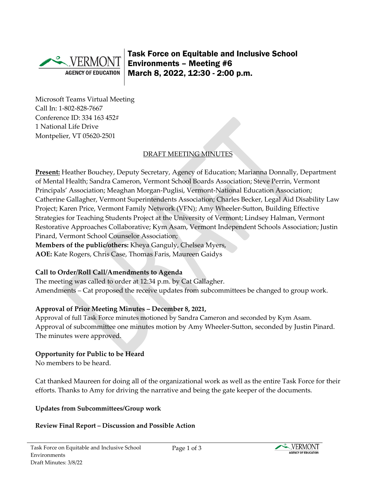

Task Force on Equitable and Inclusive School Environments – Meeting #6 March 8, 2022, 12:30 - 2:00 p.m.

Microsoft Teams Virtual Meeting Call In: [1-802-828-7667](about:blank)  Conference ID: 334 163 452# 1 National Life Drive Montpelier, VT 05620-2501

# DRAFT MEETING MINUTES

**Present:** Heather Bouchey, Deputy Secretary, Agency of Education; Marianna Donnally, Department of Mental Health; Sandra Cameron, Vermont School Boards Association; Steve Perrin, Vermont Principals' Association; Meaghan Morgan-Puglisi, Vermont-National Education Association; Catherine Gallagher, Vermont Superintendents Association; Charles Becker, Legal Aid Disability Law Project; Karen Price, Vermont Family Network (VFN); Amy Wheeler-Sutton, Building Effective Strategies for Teaching Students Project at the University of Vermont; Lindsey Halman, Vermont Restorative Approaches Collaborative; Kym Asam, Vermont Independent Schools Association; Justin Pinard, Vermont School Counselor Association; **Members of the public/others:** Kheya Ganguly, Chelsea Myers, **AOE:** Kate Rogers, Chris Case, Thomas Faris, Maureen Gaidys

# **Call to Order/Roll Call/Amendments to Agenda**

The meeting was called to order at 12:34 p.m. by Cat Gallagher. Amendments – Cat proposed the receive updates from subcommittees be changed to group work.

# **Approval of Prior Meeting Minutes – December 8, 2021,**

Approval of full Task Force minutes motioned by Sandra Cameron and seconded by Kym Asam. Approval of subcommittee one minutes motion by Amy Wheeler-Sutton, seconded by Justin Pinard. The minutes were approved.

# **Opportunity for Public to be Heard**

No members to be heard.

Cat thanked Maureen for doing all of the organizational work as well as the entire Task Force for their efforts. Thanks to Amy for driving the narrative and being the gate keeper of the documents.

**Updates from Subcommittees/Group work**

# **Review Final Report – Discussion and Possible Action**

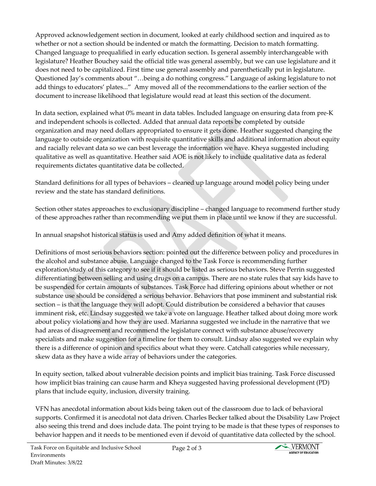Approved acknowledgement section in document, looked at early childhood section and inquired as to whether or not a section should be indented or match the formatting. Decision to match formatting. Changed language to prequalified in early education section. Is general assembly interchangeable with legislature? Heather Bouchey said the official title was general assembly, but we can use legislature and it does not need to be capitalized. First time use general assembly and parenthetically put in legislature. Questioned Jay's comments about "…being a do nothing congress." Language of asking legislature to not add things to educators' plates..." Amy moved all of the recommendations to the earlier section of the document to increase likelihood that legislature would read at least this section of the document.

In data section, explained what 0% meant in data tables. Included language on ensuring data from pre-K and independent schools is collected. Added that annual data reports be completed by outside organization and may need dollars appropriated to ensure it gets done. Heather suggested changing the language to outside organization with requisite quantitative skills and additional information about equity and racially relevant data so we can best leverage the information we have. Kheya suggested including qualitative as well as quantitative. Heather said AOE is not likely to include qualitative data as federal requirements dictates quantitative data be collected.

Standard definitions for all types of behaviors – cleaned up language around model policy being under review and the state has standard definitions.

Section other states approaches to exclusionary discipline – changed language to recommend further study of these approaches rather than recommending we put them in place until we know if they are successful.

In annual snapshot historical status is used and Amy added definition of what it means.

Definitions of most serious behaviors section: pointed out the difference between policy and procedures in the alcohol and substance abuse. Language changed to the Task Force is recommending further exploration/study of this category to see if it should be listed as serious behaviors. Steve Perrin suggested differentiating between selling and using drugs on a campus. There are no state rules that say kids have to be suspended for certain amounts of substances. Task Force had differing opinions about whether or not substance use should be considered a serious behavior. Behaviors that pose imminent and substantial risk section – is that the language they will adopt. Could distribution be considered a behavior that causes imminent risk, etc. Lindsay suggested we take a vote on language. Heather talked about doing more work about policy violations and how they are used. Marianna suggested we include in the narrative that we had areas of disagreement and recommend the legislature connect with substance abuse/recovery specialists and make suggestion for a timeline for them to consult. Lindsay also suggested we explain why there is a difference of opinion and specifics about what they were. Catchall categories while necessary, skew data as they have a wide array of behaviors under the categories.

In equity section, talked about vulnerable decision points and implicit bias training. Task Force discussed how implicit bias training can cause harm and Kheya suggested having professional development (PD) plans that include equity, inclusion, diversity training.

VFN has anecdotal information about kids being taken out of the classroom due to lack of behavioral supports. Confirmed it is anecdotal not data driven. Charles Becker talked about the Disability Law Project also seeing this trend and does include data. The point trying to be made is that these types of responses to behavior happen and it needs to be mentioned even if devoid of quantitative data collected by the school.